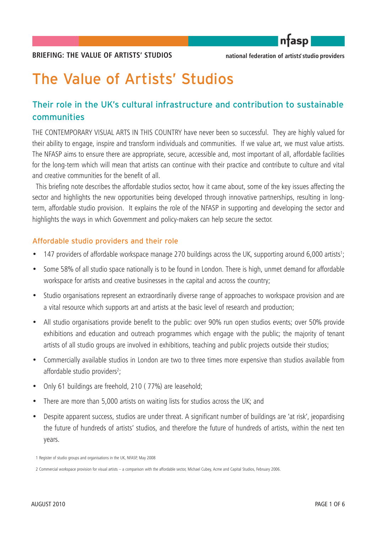

# The Value of Artists' Studios

# Their role in the UK's cultural infrastructure and contribution to sustainable communities

THE CONTEMPORARY VISUAL ARTS IN THIS COUNTRY have never been so successful. They are highly valued for their ability to engage, inspire and transform individuals and communities. If we value art, we must value artists. The NFASP aims to ensure there are appropriate, secure, accessible and, most important of all, affordable facilities for the long-term which will mean that artists can continue with their practice and contribute to culture and vital and creative communities for the benefit of all.

This briefing note describes the affordable studios sector, how it came about, some of the key issues affecting the sector and highlights the new opportunities being developed through innovative partnerships, resulting in longterm, affordable studio provision. It explains the role of the NFASP in supporting and developing the sector and highlights the ways in which Government and policy-makers can help secure the sector.

## Affordable studio providers and their role

- 147 providers of affordable workspace manage 270 buildings across the UK, supporting around 6,000 artists<sup>1</sup>;
- Some 58% of all studio space nationally is to be found in London. There is high, unmet demand for affordable workspace for artists and creative businesses in the capital and across the country;
- Studio organisations represent an extraordinarily diverse range of approaches to workspace provision and are a vital resource which supports art and artists at the basic level of research and production;
- All studio organisations provide benefit to the public: over 90% run open studios events; over 50% provide exhibitions and education and outreach programmes which engage with the public; the majority of tenant artists of all studio groups are involved in exhibitions, teaching and public projects outside their studios;
- Commercially available studios in London are two to three times more expensive than studios available from affordable studio providers<sup>2</sup>;
- Only 61 buildings are freehold, 210 ( 77%) are leasehold;
- There are more than 5,000 artists on waiting lists for studios across the UK; and
- Despite apparent success, studios are under threat. A significant number of buildings are 'at risk', jeopardising the future of hundreds of artists' studios, and therefore the future of hundreds of artists, within the next ten years.

<sup>1</sup> Register of studio groups and organisations in the UK, NFASP, May 2008

<sup>2</sup> Commercial workspace provision for visual artists – a comparison with the affordable sector, Michael Cubey, Acme and Capital Studios, February 2006.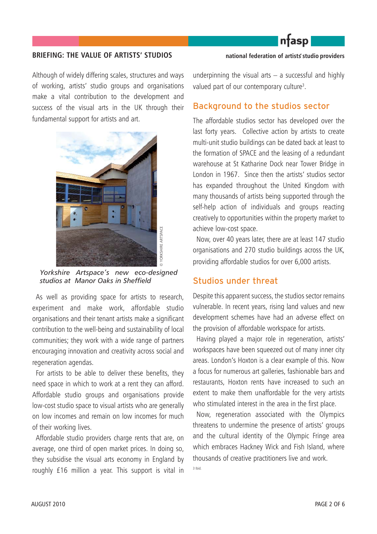# $nfasp$

### **BRIEFING: THE VALUE OF ARTISTS' STUDIOS**

Although of widely differing scales, structures and ways of working, artists' studio groups and organisations make a vital contribution to the development and success of the visual arts in the UK through their fundamental support for artists and art.



*Yorkshire Artspace's new eco-designed studios at Manor Oaks in Sheffield*

As well as providing space for artists to research, experiment and make work, affordable studio organisations and their tenant artists make a significant contribution to the well-being and sustainability of local communities; they work with a wide range of partners encouraging innovation and creativity across social and regeneration agendas.

For artists to be able to deliver these benefits, they need space in which to work at a rent they can afford. Affordable studio groups and organisations provide low-cost studio space to visual artists who are generally on low incomes and remain on low incomes for much of their working lives.

Affordable studio providers charge rents that are, on average, one third of open market prices. In doing so, they subsidise the visual arts economy in England by roughly £16 million a year. This support is vital in **national federation of artists' studio providers**

underpinning the visual arts  $-$  a successful and highly valued part of our contemporary culture<sup>3</sup>.

## Background to the studios sector

The affordable studios sector has developed over the last forty years. Collective action by artists to create multi-unit studio buildings can be dated back at least to the formation of SPACE and the leasing of a redundant warehouse at St Katharine Dock near Tower Bridge in London in 1967. Since then the artists' studios sector has expanded throughout the United Kingdom with many thousands of artists being supported through the self-help action of individuals and groups reacting creatively to opportunities within the property market to achieve low-cost space.

Now, over 40 years later, there are at least 147 studio organisations and 270 studio buildings across the UK, providing affordable studios for over 6,000 artists.

## Studios under threat

Despite this apparent success, the studios sector remains vulnerable. In recent years, rising land values and new development schemes have had an adverse effect on the provision of affordable workspace for artists.

Having played a major role in regeneration, artists' workspaces have been squeezed out of many inner city areas. London's Hoxton is a clear example of this. Now a focus for numerous art galleries, fashionable bars and restaurants, Hoxton rents have increased to such an extent to make them unaffordable for the very artists who stimulated interest in the area in the first place.

Now, regeneration associated with the Olympics threatens to undermine the presence of artists' groups and the cultural identity of the Olympic Fringe area which embraces Hackney Wick and Fish Island, where thousands of creative practitioners live and work.

3 Ibid.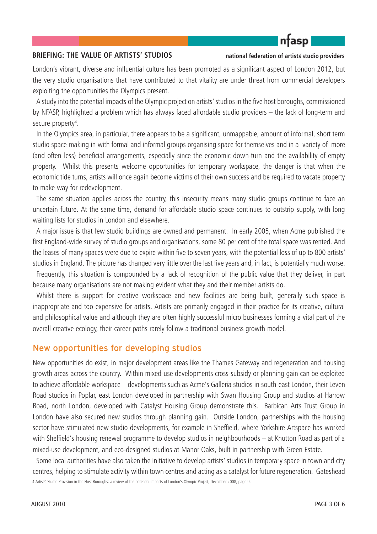# $nfasp$

## **BRIEFING: THE VALUE OF ARTISTS' STUDIOS**

#### **national federation of artists' studio providers**

London's vibrant, diverse and influential culture has been promoted as a significant aspect of London 2012, but the very studio organisations that have contributed to that vitality are under threat from commercial developers exploiting the opportunities the Olympics present.

A study into the potential impacts of the Olympic project on artists' studios in the five host boroughs, commissioned by NFASP, highlighted a problem which has always faced affordable studio providers – the lack of long-term and secure property<sup>4</sup>.

In the Olympics area, in particular, there appears to be a significant, unmappable, amount of informal, short term studio space-making in with formal and informal groups organising space for themselves and in a variety of more (and often less) beneficial arrangements, especially since the economic down-turn and the availability of empty property. Whilst this presents welcome opportunities for temporary workspace, the danger is that when the economic tide turns, artists will once again become victims of their own success and be required to vacate property to make way for redevelopment.

The same situation applies across the country, this insecurity means many studio groups continue to face an uncertain future. At the same time, demand for affordable studio space continues to outstrip supply, with long waiting lists for studios in London and elsewhere.

A major issue is that few studio buildings are owned and permanent. In early 2005, when Acme published the first England-wide survey of studio groups and organisations, some 80 per cent of the total space was rented. And the leases of many spaces were due to expire within five to seven years, with the potential loss of up to 800 artists' studios in England. The picture has changed very little over the last five years and, in fact, is potentially much worse.

Frequently, this situation is compounded by a lack of recognition of the public value that they deliver, in part because many organisations are not making evident what they and their member artists do.

Whilst there is support for creative workspace and new facilities are being built, generally such space is inappropriate and too expensive for artists. Artists are primarily engaged in their practice for its creative, cultural and philosophical value and although they are often highly successful micro businesses forming a vital part of the overall creative ecology, their career paths rarely follow a traditional business growth model.

# New opportunities for developing studios

New opportunities do exist, in major development areas like the Thames Gateway and regeneration and housing growth areas across the country. Within mixed-use developments cross-subsidy or planning gain can be exploited to achieve affordable workspace – developments such as Acme's Galleria studios in south-east London, their Leven Road studios in Poplar, east London developed in partnership with Swan Housing Group and studios at Harrow Road, north London, developed with Catalyst Housing Group demonstrate this. Barbican Arts Trust Group in London have also secured new studios through planning gain. Outside London, partnerships with the housing sector have stimulated new studio developments, for example in Sheffield, where Yorkshire Artspace has worked with Sheffield's housing renewal programme to develop studios in neighbourhoods – at Knutton Road as part of a mixed-use development, and eco-designed studios at Manor Oaks, built in partnership with Green Estate.

Some local authorities have also taken the initiative to develop artists' studios in temporary space in town and city centres, helping to stimulate activity within town centres and acting as a catalyst for future regeneration. Gateshead 4 Artists' Studio Provision in the Host Boroughs: a review of the potential impacts of London's Olympic Project, December 2008, page 9.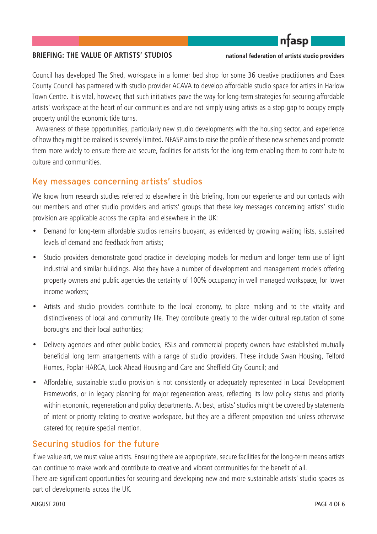# ntasp

## **BRIEFING: THE VALUE OF ARTISTS' STUDIOS**

#### **national federation of artists' studio providers**

Council has developed The Shed, workspace in a former bed shop for some 36 creative practitioners and Essex County Council has partnered with studio provider ACAVA to develop affordable studio space for artists in Harlow Town Centre. It is vital, however, that such initiatives pave the way for long-term strategies for securing affordable artists' workspace at the heart of our communities and are not simply using artists as a stop-gap to occupy empty property until the economic tide turns.

Awareness of these opportunities, particularly new studio developments with the housing sector, and experience of how they might be realised is severely limited. NFASP aims to raise the profile of these new schemes and promote them more widely to ensure there are secure, facilities for artists for the long-term enabling them to contribute to culture and communities.

# Key messages concerning artists' studios

We know from research studies referred to elsewhere in this briefing, from our experience and our contacts with our members and other studio providers and artists' groups that these key messages concerning artists' studio provision are applicable across the capital and elsewhere in the UK:

- Demand for long-term affordable studios remains buoyant, as evidenced by growing waiting lists, sustained levels of demand and feedback from artists:
- Studio providers demonstrate good practice in developing models for medium and longer term use of light industrial and similar buildings. Also they have a number of development and management models offering property owners and public agencies the certainty of 100% occupancy in well managed workspace, for lower income workers;
- Artists and studio providers contribute to the local economy, to place making and to the vitality and distinctiveness of local and community life. They contribute greatly to the wider cultural reputation of some boroughs and their local authorities;
- Delivery agencies and other public bodies, RSLs and commercial property owners have established mutually beneficial long term arrangements with a range of studio providers. These include Swan Housing, Telford Homes, Poplar HARCA, Look Ahead Housing and Care and Sheffield City Council; and
- Affordable, sustainable studio provision is not consistently or adequately represented in Local Development Frameworks, or in legacy planning for major regeneration areas, reflecting its low policy status and priority within economic, regeneration and policy departments. At best, artists' studios might be covered by statements of intent or priority relating to creative workspace, but they are a different proposition and unless otherwise catered for, require special mention.

# Securing studios for the future

If we value art, we must value artists. Ensuring there are appropriate, secure facilities for the long-term means artists can continue to make work and contribute to creative and vibrant communities for the benefit of all.

There are significant opportunities for securing and developing new and more sustainable artists' studio spaces as part of developments across the UK.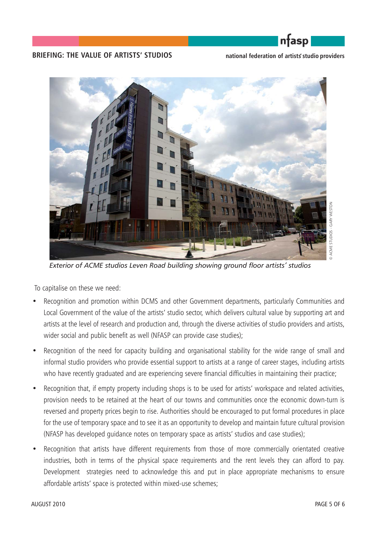

#### **national federation of artists' studio providers**

#### **BRIEFING: THE VALUE OF ARTISTS' STUDIOS**



*Exterior of ACME studios Leven Road building showing ground floor artists' studios*

To capitalise on these we need:

- Recognition and promotion within DCMS and other Government departments, particularly Communities and Local Government of the value of the artists' studio sector, which delivers cultural value by supporting art and artists at the level of research and production and, through the diverse activities of studio providers and artists, wider social and public benefit as well (NFASP can provide case studies);
- Recognition of the need for capacity building and organisational stability for the wide range of small and informal studio providers who provide essential support to artists at a range of career stages, including artists who have recently graduated and are experiencing severe financial difficulties in maintaining their practice;
- Recognition that, if empty property including shops is to be used for artists' workspace and related activities, provision needs to be retained at the heart of our towns and communities once the economic down-turn is reversed and property prices begin to rise. Authorities should be encouraged to put formal procedures in place for the use of temporary space and to see it as an opportunity to develop and maintain future cultural provision (NFASP has developed guidance notes on temporary space as artists' studios and case studies);
- Recognition that artists have different requirements from those of more commercially orientated creative industries, both in terms of the physical space requirements and the rent levels they can afford to pay. Development strategies need to acknowledge this and put in place appropriate mechanisms to ensure affordable artists' space is protected within mixed-use schemes;